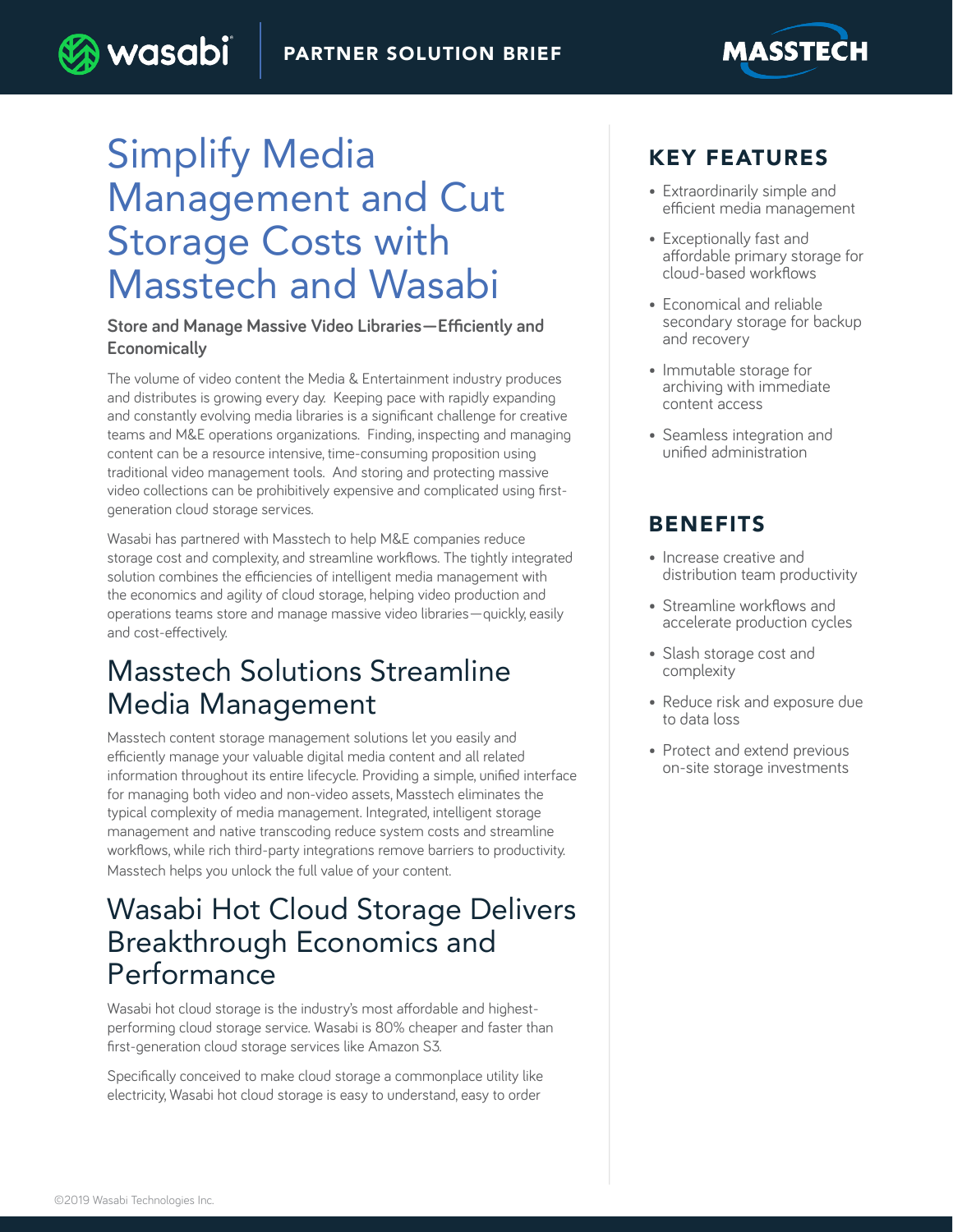

) wasabi

#### **Store and Manage Massive Video Libraries—Efficiently and Economically**

The volume of video content the Media & Entertainment industry produces and distributes is growing every day. Keeping pace with rapidly expanding and constantly evolving media libraries is a significant challenge for creative teams and M&E operations organizations. Finding, inspecting and managing content can be a resource intensive, time-consuming proposition using traditional video management tools. And storing and protecting massive video collections can be prohibitively expensive and complicated using firstgeneration cloud storage services.

Wasabi has partnered with Masstech to help M&E companies reduce storage cost and complexity, and streamline workflows. The tightly integrated solution combines the efficiencies of intelligent media management with the economics and agility of cloud storage, helping video production and operations teams store and manage massive video libraries—quickly, easily and cost-effectively.

## Masstech Solutions Streamline Media Management

Masstech content storage management solutions let you easily and efficiently manage your valuable digital media content and all related information throughout its entire lifecycle. Providing a simple, unified interface for managing both video and non-video assets, Masstech eliminates the typical complexity of media management. Integrated, intelligent storage management and native transcoding reduce system costs and streamline workflows, while rich third-party integrations remove barriers to productivity. Masstech helps you unlock the full value of your content.

## Wasabi Hot Cloud Storage Delivers Breakthrough Economics and Performance

Wasabi hot cloud storage is the industry's most affordable and highestperforming cloud storage service. Wasabi is 80% cheaper and faster than first-generation cloud storage services like Amazon S3.

Specifically conceived to make cloud storage a commonplace utility like electricity, Wasabi hot cloud storage is easy to understand, easy to order

### KEY FEATURES

• Extraordinarily simple and efficient media management

**MASSTECH** 

- Exceptionally fast and affordable primary storage for cloud-based workflows
- Economical and reliable secondary storage for backup and recovery
- Immutable storage for archiving with immediate content access
- Seamless integration and unified administration

### BENEFITS

- Increase creative and distribution team productivity
- Streamline workflows and accelerate production cycles
- Slash storage cost and complexity
- Reduce risk and exposure due to data loss
- Protect and extend previous on-site storage investments